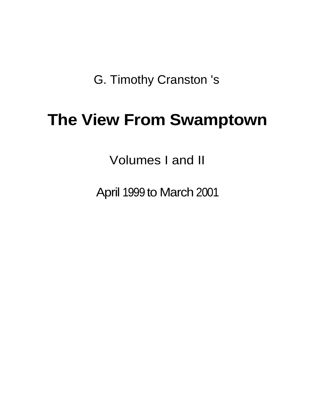G. Timothy Cranston 's

# **The View From Swamptown**

Volumes I and II

April 1999 to March 2001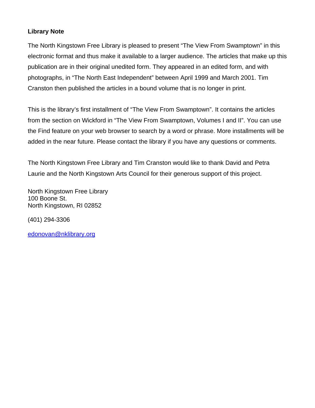#### **Library Note**

The North Kingstown Free Library is pleased to present "The View From Swamptown" in this electronic format and thus make it available to a larger audience. The articles that make up this publication are in their original unedited form. They appeared in an edited form, and with photographs, in "The North East Independent" between April 1999 and March 2001. Tim Cranston then published the articles in a bound volume that is no longer in print.

This is the library's first installment of "The View From Swamptown". It contains the articles from the section on Wickford in "The View From Swamptown, Volumes I and II". You can use the Find feature on your web browser to search by a word or phrase. More installments will be added in the near future. Please contact the library if you have any questions or comments.

The North Kingstown Free Library and Tim Cranston would like to thank David and Petra Laurie and the North Kingstown Arts Council for their generous support of this project.

North Kingstown Free Library 100 Boone St. North Kingstown, RI 02852

(401) 294-3306

[edonovan@nklibrary.org](mailto:edonovan@nklibrary.org)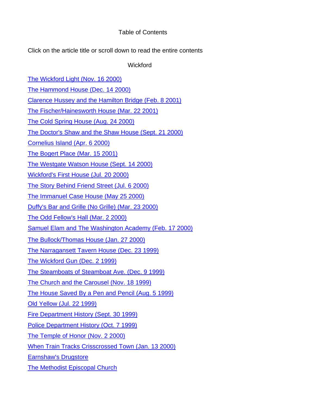#### Table of Contents

Click on the article title or scroll down to read the entire contents

**Wickford** 

[The Wickford Light \(Nov. 16 2000\)](#page-4-0)

[The Hammond House \(Dec. 14 2000\)](#page-6-0)

[Clarence Hussey and the Hamilton Bridge \(Feb. 8 2001\)](#page-8-0)

[The Fischer/Hainesworth House \(Mar. 22 2001\)](#page-10-0)

[The Cold Spring House \(Aug. 24 2000\)](#page-13-0)

[The Doctor's Shaw and the Shaw House \(Sept. 21 2000\)](#page-16-0)

[Cornelius Island \(Apr. 6 2000\)](#page-18-0)

[The Bogert Place \(Mar. 15 2001\)](#page-20-0)

[The Westgate Watson House \(Sept. 14 2000\)](#page-23-0)

[Wickford's First House \(Jul. 20 2000\)](#page-24-0)

[The Story Behind Friend Street \(Jul. 6 2000\)](#page-26-0)

[The Immanuel Case House \(May 25 2000\)](#page-28-0)

[Duffy's Bar and Grille \(No Grille\) \(Mar. 23 2000\)](#page-30-0)

[The Odd Fellow's Hall \(Mar. 2 2000\)](#page-33-0)

[Samuel Elam and The Washington Academy \(Feb. 17 2000\)](#page-35-0)

[The Bullock/Thomas House \(Jan. 27 2000\)](#page-37-0)

[The Narragansett Tavern House \(Dec. 23 1999\)](#page-38-0)

[The Wickford Gun \(Dec. 2 1999\)](#page-39-0)

[The Steamboats of Steamboat Ave. \(Dec. 9 1999\)](#page-40-0)

[The Church and the Carousel \(Nov. 18 1999\)](#page-42-0)

[The House Saved By a Pen and Pencil \(Aug. 5 1999\)](#page-44-0)

[Old Yellow \(Jul. 22 1999\)](#page-45-0)

[Fire Department History \(Sept. 30 1999\)](#page-47-0)

[Police Department History \(Oct. 7 1999\)](#page-49-0) 

[The Temple of Honor \(Nov. 2 2000\)](#page-51-0)

[When Train Tracks Crisscrossed Town \(Jan. 13 2000\)](#page-52-0)

[Earnshaw's Drugstore](#page-55-0)

[The Methodist Episcopal Church](#page-56-0)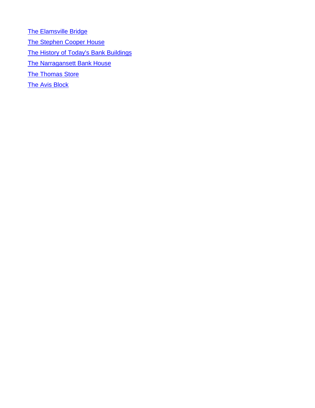**[The Elamsville Bridge](#page-57-0)** [The Stephen Cooper House](#page-58-0) [The History of Today's Bank Buildings](#page-59-0) [The Narragansett Bank House](#page-59-0) **[The Thomas Store](#page-60-0) [The Avis Block](#page-60-0)**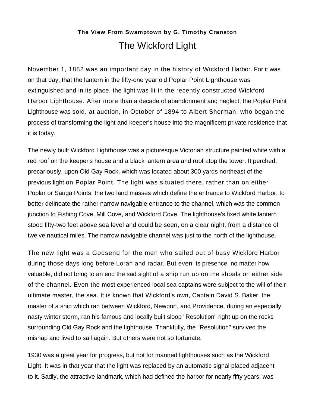## **The View From Swamptown by G. Timothy Cranston** The Wickford Light

<span id="page-4-0"></span>November 1, 1882 was an important day in the history of Wickford Harbor. For it was on that day, that the lantern in the fifty-one year old Poplar Point Lighthouse was extinguished and in its place, the light was lit in the recently constructed Wickford Harbor Lighthouse. After more than a decade of abandonment and neglect, the Poplar Point Lighthouse was sold, at auction, in October of 1894 to Albert Sherman, who began the process of transforming the light and keeper's house into the magnificent private residence that it is today.

The newly built Wickford Lighthouse was a picturesque Victorian structure painted white with a red roof on the keeper's house and a black lantern area and roof atop the tower. It perched, precariously, upon Old Gay Rock, which was located about 300 yards northeast of the previous light on Poplar Point. The light was situated there, rather than on either Poplar or Sauga Points, the two land masses which define the entrance to Wickford Harbor, to better delineate the rather narrow navigable entrance to the channel, which was the common junction to Fishing Cove, Mill Cove, and Wickford Cove. The lighthouse's fixed white lantern stood fifty-two feet above sea level and could be seen, on a clear night, from a distance of twelve nautical miles. The narrow navigable channel was just to the north of the lighthouse.

The new light was a Godsend for the men who sailed out of busy Wickford Harbor during those days long before Loran and radar. But even its presence, no matter how valuable, did not bring to an end the sad sight of a ship run up on the shoals on either side of the channel. Even the most experienced local sea captains were subject to the will of their ultimate master, the sea. It is known that Wickford's own, Captain David S. Baker, the master of a ship which ran between Wickford, Newport, and Providence, during an especially nasty winter storm, ran his famous and locally built sloop "Resolution" right up on the rocks surrounding Old Gay Rock and the lighthouse. Thankfully, the "Resolution" survived the mishap and lived to sail again. But others were not so fortunate.

1930 was a great year for progress, but not for manned lighthouses such as the Wickford Light. It was in that year that the light was replaced by an automatic signal placed adjacent to it. Sadly, the attractive landmark, which had defined the harbor for nearly fifty years, was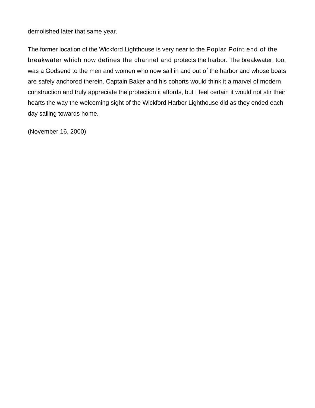demolished later that same year.

The former location of the Wickford Lighthouse is very near to the Poplar Point end of the breakwater which now defines the channel and protects the harbor. The breakwater, too, was a Godsend to the men and women who now sail in and out of the harbor and whose boats are safely anchored therein. Captain Baker and his cohorts would think it a marvel of modern construction and truly appreciate the protection it affords, but I feel certain it would not stir their hearts the way the welcoming sight of the Wickford Harbor Lighthouse did as they ended each day sailing towards home.

(November 16, 2000)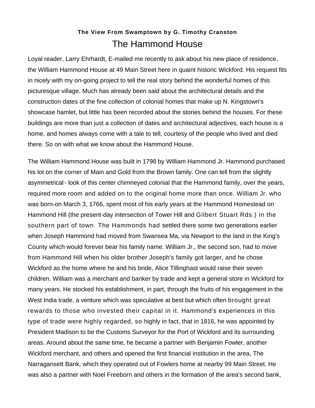## **The View From Swamptown by G. Timothy Cranston** The Hammond House

<span id="page-6-0"></span>Loyal reader, Larry Ehrhardt, E-mailed me recently to ask about his new place of residence, the William Hammond House at 49 Main Street here in quaint historic Wickford. His request fits in nicely with my on-going project to tell the real story behind the wonderful homes of this picturesque village. Much has already been said about the architectural details and the construction dates of the fine collection of colonial homes that make up N. Kingstown's showcase hamlet, but little has been recorded about the stories behind the houses. For these buildings are more than just a collection of dates and architectural adjectives, each house is a home, and homes always come with a tale to tell, courtesy of the people who lived and died there. So on with what we know about the Hammond House.

The William Hammond House was built in 1798 by William Hammond Jr. Hammond purchased his lot on the corner of Main and Gold from the Brown family. One can tell from the slightly asymmetrical - look of this center chimneyed colonial that the Hammond family, over the years, required more room and added on to the original home more than once. William Jr. who was born-on March 3, 1766, spent most of his early years at the Hammond Homestead on Hammond Hill (the present-day intersection of Tower Hill and Gilbert Stuart Rds.) in the southern part of town. The Hammonds had settled there some two generations earlier when Joseph Hammond had moved from Swansea Ma, via Newport to the land in the King's County which would forever bear his family name. William Jr., the second son, had to move from Hammond Hill when his older brother Joseph's family got larger, and he chose Wickford as the home where he and his bride, Alice Tillinghast would raise their seven children. William was a merchant and banker by trade and kept a general store in Wickford for many years. He stocked his establishment, in part, through the fruits of his engagement in the West India trade, a venture which was speculative at best but which often brought great rewards to those who invested their capital in it. Hammond's experiences in this type of trade were highly regarded, so highly in fact, that in 1816, he was appointed by President Madison to be the Customs Surveyor for the Port of Wickford and its surrounding areas. Around about the same time, he became a partner with Benjamin Fowler, another Wickford merchant, and others and opened the first financial institution in the area, The Narragansett Bank, which they operated out of Fowlers home at nearby 99 Main Street. He was also a partner with Noel Freeborn and others in the formation of the area's second bank,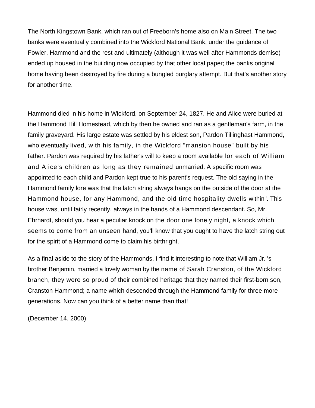The North Kingstown Bank, which ran out of Freeborn's home also on Main Street. The two banks were eventually combined into the Wickford National Bank, under the guidance of Fowler, Hammond and the rest and ultimately (although it was well after Hammonds demise) ended up housed in the building now occupied by that other local paper; the banks original home having been destroyed by fire during a bungled burglary attempt. But that's another story for another time.

Hammond died in his home in Wickford, on September 24, 1827. He and Alice were buried at the Hammond Hill Homestead, which by then he owned and ran as a gentleman's farm, in the family graveyard. His large estate was settled by his eldest son, Pardon Tillinghast Hammond, who eventually lived, with his family, in the Wickford "mansion house" built by his father. Pardon was required by his father's will to keep a room available for each of William and Alice's children as long as they remained unmarried. A specific room was appointed to each child and Pardon kept true to his parent's request. The old saying in the Hammond family lore was that the latch string always hangs on the outside of the door at the Hammond house, for any Hammond, and the old time hospitality dwells within". This house was, until fairly recently, always in the hands of a Hammond descendant. So, Mr. Ehrhardt, should you hear a peculiar knock on the door one lonely night, a knock which seems to come from an unseen hand, you'll know that you ought to have the latch string out for the spirit of a Hammond come to claim his birthright.

As a final aside to the story of the Hammonds, I find it interesting to note that William Jr. 's brother Benjamin, married a lovely woman by the name of Sarah Cranston, of the Wickford branch, they were so proud of their combined heritage that they named their first-born son, Cranston Hammond; a name which descended through the Hammond family for three more generations. Now can you think of a better name than that!

(December 14, 2000)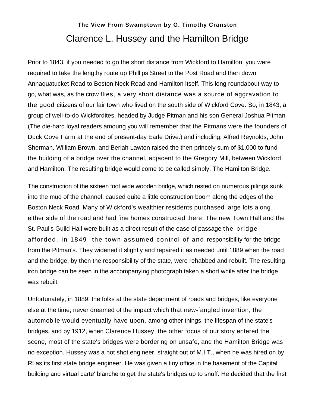## **The View From Swamptown by G. Timothy Cranston** Clarence L. Hussey and the Hamilton Bridge

<span id="page-8-0"></span>Prior to 1843, if you needed to go the short distance from Wickford to Hamilton, you were required to take the lengthy route up Phillips Street to the Post Road and then down Annaquatucket Road to Boston Neck Road and Hamilton itself. This long roundabout way to go, what was, as the crow flies, a very short distance was a source of aggravation to the good citizens of our fair town who lived on the south side of Wickford Cove. So, in 1843, a group of well-to-do Wickfordites, headed by Judge Pitman and his son General Joshua Pitman (The die-hard loyal readers amoung you will remember that the Pitmans were the founders of Duck Cove Farm at the end of present-day Earle Drive.) and including; Alfred Reynolds, John Sherman, William Brown, and Beriah Lawton raised the then princely sum of \$1,000 to fund the building of a bridge over the channel, adjacent to the Gregory Mill, between Wickford and Hamilton. The resulting bridge would come to be called simply, The Hamilton Bridge.

The construction of the sixteen foot wide wooden bridge, which rested on numerous pilings sunk into the mud of the channel, caused quite a little construction boom along the edges of the Boston Neck Road. Many of Wickford's wealthier residents purchased large lots along either side of the road and had fine homes constructed there. The new Town Hall and the St. Paul's Guild Hall were built as a direct result of the ease of passage the bridge afforded. In 1849, the town assumed control of and responsibility for the bridge from the Pitman's. They widened it slightly and repaired it as needed until 1889 when the road and the bridge, by then the responsibility of the state, were rehabbed and rebuilt. The resulting iron bridge can be seen in the accompanying photograph taken a short while after the bridge was rebuilt.

Unfortunately, in 1889, the folks at the state department of roads and bridges, like everyone else at the time, never dreamed of the impact which that new-fangled invention, the automobile would eventually have upon, among other things, the lifespan of the state's bridges, and by 1912, when Clarence Hussey, the other focus of our story entered the scene, most of the state's bridges were bordering on unsafe, and the Hamilton Bridge was no exception. Hussey was a hot shot engineer, straight out of M.I.T., when he was hired on by RI as its first state bridge engineer. He was given a tiny office in the basement of the Capital building and virtual carte' blanche to get the state's bridges up to snuff. He decided that the first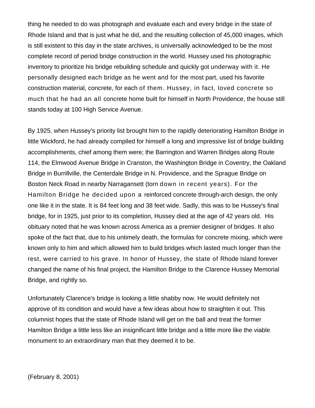thing he needed to do was photograph and evaluate each and every bridge in the state of Rhode Island and that is just what he did, and the resulting collection of 45,000 images, which is still existent to this day in the state archives, is universally acknowledged to be the most complete record of period bridge construction in the world. Hussey used his photographic inventory to prioritize his bridge rebuilding schedule and quickly got underway with it. He personally designed each bridge as he went and for the most part, used his favorite construction material, concrete, for each of them. Hussey, in fact, loved concrete so much that he had an all concrete home built for himself in North Providence, the house still stands today at 100 High Service Avenue.

By 1925, when Hussey's priority list brought him to the rapidly deteriorating Hamilton Bridge in little Wickford, he had already compiled for himself a long and impressive list of bridge building accomplishments, chief among them were; the Barrington and Warren Bridges along Route 114, the Elmwood Avenue Bridge in Cranston, the Washington Bridge in Coventry, the Oakland Bridge in Burrillville, the Centerdale Bridge in N. Providence, and the Sprague Bridge on Boston Neck Road in nearby Narragansett (torn down in recent years). For the Hamilton Bridge he decided upon a reinforced concrete through-arch design, the only one like it in the state. It is 84 feet long and 38 feet wide. Sadly, this was to be Hussey's final bridge, for in 1925, just prior to its completion, Hussey died at the age of 42 years old. His obituary noted that he was known across America as a premier designer of bridges. It also spoke of the fact that, due to his untimely death, the formulas for concrete mixing, which were known only to him and which allowed him to build bridges which lasted much longer than the rest, were carried to his grave. In honor of Hussey, the state of Rhode Island forever changed the name of his final project, the Hamilton Bridge to the Clarence Hussey Memorial Bridge, and rightly so.

Unfortunately Clarence's bridge is looking a little shabby now. He would definitely not approve of its condition and would have a few ideas about how to straighten it out. This columnist hopes that the state of Rhode Island will get on the ball and treat the former Hamilton Bridge a little less like an insignificant little bridge and a little more like the viable monument to an extraordinary man that they deemed it to be.

(February 8, 2001)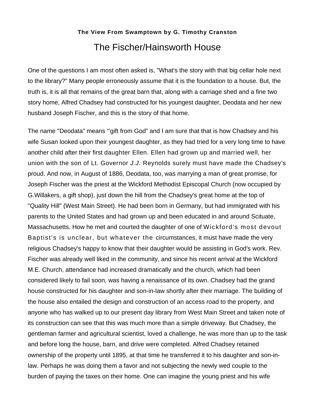## **The View From Swamptown by G. Timothy Cranston** The Fischer/Hainsworth House

<span id="page-10-0"></span>One of the questions I am most often asked is, "What's the story with that big cellar hole next to the library?" Many people erroneously assume that it is the foundation to a house. But, the truth is, it is all that remains of the great barn that, along with a carriage shed and a fine two story home, Alfred Chadsey had constructed for his youngest daughter, Deodata and her new husband Joseph Fischer, and this is the story of that home.

The name "Deodata" means "'gift from God" and I am sure that that is how Chadsey and his wife Susan looked upon their youngest daughter, as they had tried for a very long time to have another child after their first daughter Ellen. Ellen had grown up and married well, her union with the son of Lt. Governor *J.J.* Reynolds surely must have made the Chadsey's proud. And now, in August of 1886, Deodata, too, was marrying a man of great promise, for Joseph Fischer was the priest at the Wickford Methodist Episcopal Church (now occupied by G.Willakers, a gift shop), just down the hill from the Chadsey's great home at the top of "Quality Hill" (West Main Street). He had been born in Germany, but had immigrated with his parents to the United States and had grown up and been educated in and around Scituate, Massachusetts. How he met and courted the daughter of one of Wickford's most devout Baptist's is unclear, but whatever the circumstances, it must have made the very religious Chadsey's happy to know that their daughter would be assisting in God's work. Rev. Fischer was already well liked in the community, and since his recent arrival at the Wickford M.E. Church, attendance had increased dramatically and the church, which had been considered likely to fail soon, was having a renaissance of its own. Chadsey had the grand house constructed for his daughter and son-in-law shortly after their marriage. The building of the house also entailed the design and construction of an access road to the property, and anyone who has walked up to our present day library from West Main Street and taken note of its construction can see that this was much more than a simple driveway. But Chadsey, the gentleman farmer and agricultural scientist, loved a challenge, he was more than up to the task and before long the house, barn, and drive were completed. Alfred Chadsey retained ownership of the property until 1895, at that time he transferred it to his daughter and son-inlaw. Perhaps he was doing them a favor and not subjecting the newly wed couple to the burden of paying the taxes on their home. One can imagine the young priest and his wife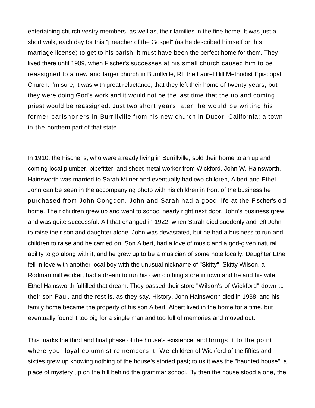entertaining church vestry members, as well as, their families in the fine home. It was just a short walk, each day for this "preacher of the Gospel" (as he described himself on his marriage license) to get to his parish; it must have been the perfect home for them. They lived there until 1909, when Fischer's successes at his small church caused him to be reassigned to a new and larger church in Burrillville, RI; the Laurel Hill Methodist Episcopal Church. I'm sure, it was with great reluctance, that they left their home of twenty years, but they were doing God's work and it would not be the last time that the up and coming priest would be reassigned. Just two short years later, he would be writing his former parishoners in Burrillville from his new church in Ducor, California; a town in the northern part of that state.

In 1910, the Fischer's, who were already living in Burrillville, sold their home to an up and coming local plumber, pipefitter, and sheet metal worker from Wickford, John W. Hainsworth. Hainsworth was married to Sarah Milner and eventually had two children, Albert and Ethel. John can be seen in the accompanying photo with his children in front of the business he purchased from John Congdon. John and Sarah had a good life at the Fischer's old home. Their children grew up and went to school nearly right next door, John's business grew and was quite successful. All that changed in 1922, when Sarah died suddenly and left John to raise their son and daughter alone. John was devastated, but he had a business to run and children to raise and he carried on. Son Albert, had a love of music and a god-given natural ability to go along with it, and he grew up to be a musician of some note locally. Daughter Ethel fell in love with another local boy with the unusual nickname of "Skitty". Skitty Wilson, a Rodman mill worker, had a dream to run his own clothing store in town and he and his wife Ethel Hainsworth fulfilled that dream. They passed their store "Wilson's of Wickford" down to their son Paul, and the rest is, as they say, History. John Hainsworth died in 1938, and his family home became the property of his son Albert. Albert lived in the home for a time, but eventually found it too big for a single man and too full of memories and moved out.

This marks the third and final phase of the house's existence, and brings it to the point where your loyal columnist remembers it. We children of Wickford of the fifties and sixties grew up knowing nothing of the house's storied past; to us it was the "haunted house", a place of mystery up on the hill behind the grammar school. By then the house stood alone, the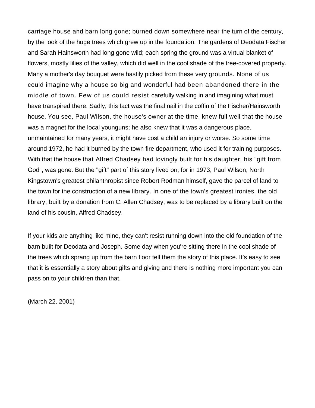carriage house and barn long gone; burned down somewhere near the turn of the century, by the look of the huge trees which grew up in the foundation. The gardens of Deodata Fischer and Sarah Hainsworth had long gone wild; each spring the ground was a virtual blanket of flowers, mostly lilies of the valley, which did well in the cool shade of the tree-covered property. Many a mother's day bouquet were hastily picked from these very grounds. None of us could imagine why a house so big and wonderful had been abandoned there in the middle of town. Few of us could resist carefully walking in and imagining what must have transpired there. Sadly, this fact was the final nail in the coffin of the Fischer/Hainsworth house. You see, Paul Wilson, the house's owner at the time, knew full well that the house was a magnet for the local younguns; he also knew that it was a dangerous place, unmaintained for many years, it might have cost a child an injury or worse. So some time around 1972, he had it burned by the town fire department, who used it for training purposes. With that the house that Alfred Chadsey had lovingly built for his daughter, his "gift from God", was gone. But the "gift" part of this story lived on; for in 1973, Paul Wilson, North Kingstown's greatest philanthropist since Robert Rodman himself, gave the parcel of land to the town for the construction of a new library. In one of the town's greatest ironies, the old library, built by a donation from C. Allen Chadsey, was to be replaced by a library built on the land of his cousin, Alfred Chadsey.

If your kids are anything like mine, they can't resist running down into the old foundation of the barn built for Deodata and Joseph. Some day when you're sitting there in the cool shade of the trees which sprang up from the barn floor tell them the story of this place. It's easy to see that it is essentially a story about gifts and giving and there is nothing more important you can pass on to your children than that.

(March 22, 2001)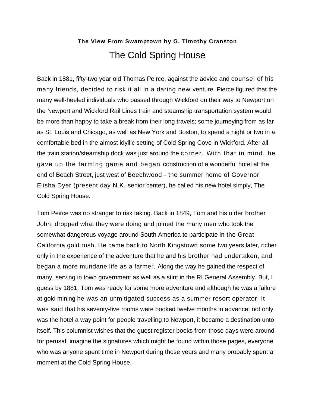## **The View From Swamptown by G. Timothy Cranston** The Cold Spring House

<span id="page-13-0"></span>Back in 1881, fifty-two year old Thomas Peirce, against the advice and counsel of his many friends, decided to risk it all in a daring new venture. Pierce figured that the many well-heeled individuals who passed through Wickford on their way to Newport on the Newport and Wickford Rail Lines train and steamship transportation system would be more than happy to take a break from their long travels; some journeying from as far as St. Louis and Chicago, as well as New York and Boston, to spend a night or two in a comfortable bed in the almost idyllic setting of Cold Spring Cove in Wickford. After all, the train station/steamship dock was just around the corner. With that in mind, he gave up the farming game and began construction of a wonderful hotel at the end of Beach Street, just west of Beechwood - the summer home of Governor Elisha Dyer (present day N.K. senior center), he called his new hotel simply, The Cold Spring House.

Tom Peirce was no stranger to risk taking. Back in 1849, Tom and his older brother John, dropped what they were doing and joined the many men who took the somewhat dangerous voyage around South America to participate in the Great California gold rush. He came back to North Kingstown some two years later, richer only in the experience of the adventure that he and his brother had undertaken, and began a more mundane life as a farmer. Along the way he gained the respect of many, serving in town government as well as a stint in the RI General Assembly. But, I guess by 1881, Tom was ready for some more adventure and although he was a failure at gold mining he was an unmitigated success as a summer resort operator. It was said that his seventy-five rooms were booked twelve months in advance; not only was the hotel a way point for people travelling to Newport, it became a destination unto itself. This columnist wishes that the guest register books from those days were around for perusal; imagine the signatures which might be found within those pages, everyone who was anyone spent time in Newport during those years and many probably spent a moment at the Cold Spring House.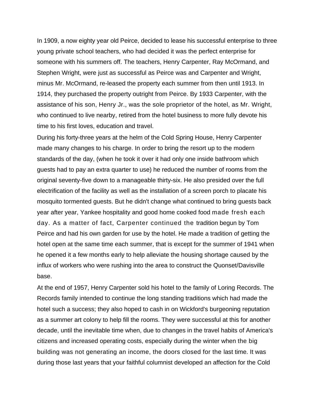In 1909, a now eighty year old Peirce, decided to lease his successful enterprise to three young private school teachers, who had decided it was the perfect enterprise for someone with his summers off. The teachers, Henry Carpenter, Ray McOrmand, and Stephen Wright, were just as successful as Peirce was and Carpenter and Wright, minus Mr. McOrmand, re-leased the property each summer from then until 1913. In 1914, they purchased the property outright from Peirce. By 1933 Carpenter, with the assistance of his son, Henry Jr., was the sole proprietor of the hotel, as Mr. Wright, who continued to live nearby, retired from the hotel business to more fully devote his time to his first loves, education and travel.

During his forty-three years at the helm of the Cold Spring House, Henry Carpenter made many changes to his charge. In order to bring the resort up to the modern standards of the day, (when he took it over it had only one inside bathroom which guests had to pay an extra quarter to use) he reduced the number of rooms from the original seventy-five down to a manageable thirty-six. He also presided over the full electrification of the facility as well as the installation of a screen porch to placate his mosquito tormented guests. But he didn't change what continued to bring guests back year after year, Yankee hospitality and good home cooked food made fresh each day. As a matter of fact, Carpenter continued the tradition begun by Tom Peirce and had his own garden for use by the hotel. He made a tradition of getting the hotel open at the same time each summer, that is except for the summer of 1941 when he opened it a few months early to help alleviate the housing shortage caused by the influx of workers who were rushing into the area to construct the Quonset/Davisville base.

At the end of 1957, Henry Carpenter sold his hotel to the family of Loring Records. The Records family intended to continue the long standing traditions which had made the hotel such a success; they also hoped to cash in on Wickford's burgeoning reputation as a summer art colony to help fill the rooms. They were successful at this for another decade, until the inevitable time when, due to changes in the travel habits of America's citizens and increased operating costs, especially during the winter when the big building was not generating an income, the doors closed for the last time. It was during those last years that your faithful columnist developed an affection for the Cold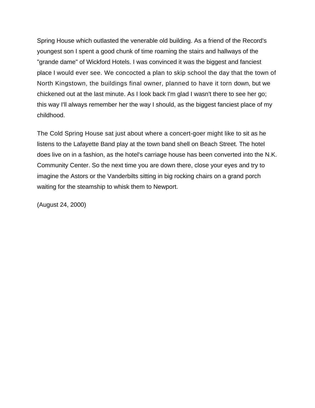Spring House which outlasted the venerable old building. As a friend of the Record's youngest son I spent a good chunk of time roaming the stairs and hallways of the "grande dame" of Wickford Hotels. I was convinced it was the biggest and fanciest place I would ever see. We concocted a plan to skip school the day that the town of North Kingstown, the buildings final owner, planned to have it torn down, but we chickened out at the last minute. As I look back I'm glad I wasn't there to see her go; this way I'll always remember her the way I should, as the biggest fanciest place of my childhood.

The Cold Spring House sat just about where a concert-goer might like to sit as he listens to the Lafayette Band play at the town band shell on Beach Street. The hotel does live on in a fashion, as the hotel's carriage house has been converted into the N.K. Community Center. So the next time you are down there, close your eyes and try to imagine the Astors or the Vanderbilts sitting in big rocking chairs on a grand porch waiting for the steamship to whisk them to Newport.

(August 24, 2000)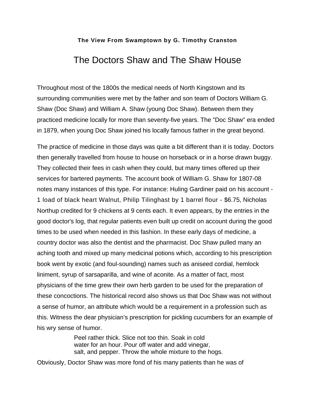## <span id="page-16-0"></span>The Doctors Shaw and The Shaw House

Throughout most of the 1800s the medical needs of North Kingstown and its surrounding communities were met by the father and son team of Doctors William G. Shaw (Doc Shaw) and William A. Shaw (young Doc Shaw). Between them they practiced medicine locally for more than seventy-five years. The "Doc Shaw" era ended in 1879, when young Doc Shaw joined his locally famous father in the great beyond.

The practice of medicine in those days was quite a bit different than it is today. Doctors then generally travelled from house to house on horseback or in a horse drawn buggy. They collected their fees in cash when they could, but many times offered up their services for bartered payments. The account book of William G. Shaw for 1807-08 notes many instances of this type. For instance: Huling Gardiner paid on his account - 1 load of black heart Walnut, Philip Tilinghast by 1 barrel flour - \$6.75, Nicholas Northup credited for 9 chickens at 9 cents each. It even appears, by the entries in the good doctor's log, that regular patients even built up credit on account during the good times to be used when needed in this fashion. In these early days of medicine, a country doctor was also the dentist and the pharmacist. Doc Shaw pulled many an aching tooth and mixed up many medicinal potions which, according to his prescription book went by exotic (and foul-sounding) names such as aniseed cordial, hemlock liniment, syrup of sarsaparilla, and wine of aconite. As a matter of fact, most physicians of the time grew their own herb garden to be used for the preparation of these concoctions. The historical record also shows us that Doc Shaw was not without a sense of humor, an attribute which would be a requirement in a profession such as this. Witness the dear physician's prescription for pickling cucumbers for an example of his wry sense of humor.

> Peel rather thick. Slice not too thin. Soak in cold water for an hour. Pour off water and add vinegar, salt, and pepper. Throw the whole mixture to the hogs.

Obviously, Doctor Shaw was more fond of his many patients than he was of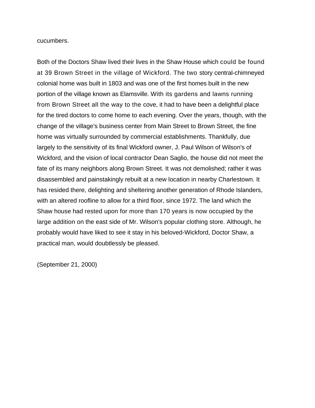cucumbers.

Both of the Doctors Shaw lived their lives in the Shaw House which could be found at 39 Brown Street in the village of Wickford. The two story central-chimneyed colonial home was built in 1803 and was one of the first homes built in the new portion of the village known as Elamsville. With its gardens and lawns running from Brown Street all the way to the cove, it had to have been a delightful place for the tired doctors to come home to each evening. Over the years, though, with the change of the village's business center from Main Street to Brown Street, the fine home was virtually surrounded by commercial establishments. Thankfully, due largely to the sensitivity of its final Wickford owner, J. Paul Wilson of Wilson's of Wickford, and the vision of local contractor Dean Saglio, the house did not meet the fate of its many neighbors along Brown Street. It was not demolished; rather it was disassembled and painstakingly rebuilt at a new location in nearby Charlestown. It has resided there, delighting and sheltering another generation of Rhode Islanders, with an altered roofline to allow for a third floor, since 1972. The land which the Shaw house had rested upon for more than 170 years is now occupied by the large addition on the east side of Mr. Wilson's popular clothing store. Although, he probably would have liked to see it stay in his beloved-Wickford, Doctor Shaw, a practical man, would doubtlessly be pleased.

(September 21, 2000)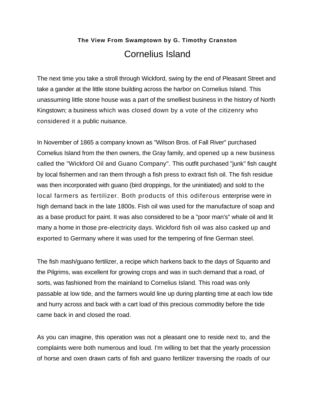## **The View From Swamptown by G. Timothy Cranston** Cornelius Island

<span id="page-18-0"></span>The next time you take a stroll through Wickford, swing by the end of Pleasant Street and take a gander at the little stone building across the harbor on Cornelius Island. This unassuming little stone house was a part of the smelliest business in the history of North Kingstown; a business which was closed down by a vote of the citizenry who considered it a public nuisance.

In November of 1865 a company known as "Wilson Bros. of Fall River" purchased Cornelius Island from the then owners, the Gray family, and opened up a new business called the "Wickford Oil and Guano Company". This outfit purchased "junk" fish caught by local fishermen and ran them through a fish press to extract fish oil. The fish residue was then incorporated with guano (bird droppings, for the uninitiated) and sold to the local farmers as fertilizer. Both products of this odiferous enterprise were in high demand back in the late 1800s. Fish oil was used for the manufacture of soap and as a base product for paint. It was also considered to be a "poor man's" whale oil and lit many a home in those pre-electricity days. Wickford fish oil was also casked up and exported to Germany where it was used for the tempering of fine German steel.

The fish mash/guano fertilizer, a recipe which harkens back to the days of Squanto and the Pilgrims, was excellent for growing crops and was in such demand that a road, of sorts, was fashioned from the mainland to Cornelius Island. This road was only passable at low tide, and the farmers would line up during planting time at each low tide and hurry across and back with a cart load of this precious commodity before the tide came back in and closed the road.

As you can imagine, this operation was not a pleasant one to reside next to, and the complaints were both numerous and loud. I'm willing to bet that the yearly procession of horse and oxen drawn carts of fish and guano fertilizer traversing the roads of our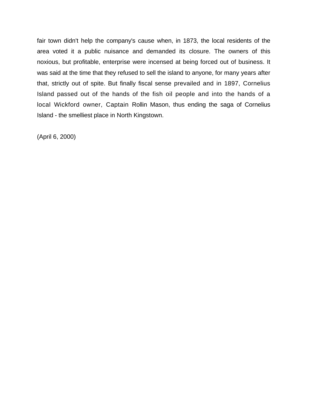fair town didn't help the company's cause when, in 1873, the local residents of the area voted it a public nuisance and demanded its closure. The owners of this noxious, but profitable, enterprise were incensed at being forced out of business. It was said at the time that they refused to sell the island to anyone, for many years after that, strictly out of spite. But finally fiscal sense prevailed and in 1897, Cornelius Island passed out of the hands of the fish oil people and into the hands of a local Wickford owner, Captain Rollin Mason, thus ending the saga of Cornelius Island - the smelliest place in North Kingstown.

(April 6, 2000)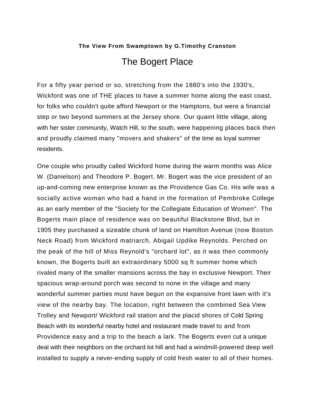## The Bogert Place

<span id="page-20-0"></span>For a fifty year period or so, stretching from the 1880's into the 1930's, Wickford was one of THE places to have a summer home along the east coast, for folks who couldn't quite afford Newport or the Hamptons, but were a financial step or two beyond summers at the Jersey shore. Our quaint little village, along with her sister community, Watch Hill, to the south, were happening places back then and proudly claimed many "movers and shakers" of the time as loyal summer residents.

One couple who proudly called Wickford home during the warm months was Alice W. (Danielson) and Theodore P. Bogert. Mr. Bogert was the vice president of an up-and-coming new enterprise known as the Providence Gas Co. His wife was a socially active woman who had a hand in the formation of Pembroke College as an early member of the "Society for the Collegiate Education of Women". The Bogerts main place of residence was on beautiful Blackstone Blvd, but in 1905 they purchased a sizeable chunk of land on Hamilton Avenue (now Boston Neck Road) from Wickford matriarch, Abigail Updike Reynolds. Perched on the peak of the hill of Miss Reynold's "orchard lot", as it was then commonly known, the Bogerts built an extraordinary 5000 sq ft summer home which rivaled many of the smaller mansions across the bay in exclusive Newport. Their spacious wrap-around porch was second to none in the village and many wonderful summer parties must have begun on the expansive front lawn with it's view of the nearby bay. The location, right between the combined Sea View Trolley and Newport/ Wickford rail station and the placid shores of Cold Spring Beach with its wonderful nearby hotel and restaurant made travel to and from Providence easy and a trip to the beach a lark. The Bogerts even cut a unique deal with their neighbors on the orchard lot hill and had a windmill-powered deep well installed to supply a never-ending supply of cold fresh water to all of their homes.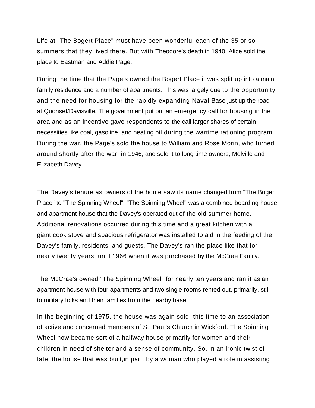Life at "The Bogert Place" must have been wonderful each of the 35 or so summers that they lived there. But with Theodore's death in 1940, Alice sold the place to Eastman and Addie Page.

During the time that the Page's owned the Bogert Place it was split up into a main family residence and a number of apartments. This was largely due to the opportunity and the need for housing for the rapidly expanding Naval Base just up the road at Quonset/Davisville. The government put out an emergency call for housing in the area and as an incentive gave respondents to the call larger shares of certain necessities like coal, gasoline, and heating oil during the wartime rationing program. During the war, the Page's sold the house to William and Rose Morin, who turned around shortly after the war, in 1946, and sold it to long time owners, Melville and Elizabeth Davey.

The Davey's tenure as owners of the home saw its name changed from "The Bogert Place" to "The Spinning Wheel". "The Spinning Wheel" was a combined boarding house and apartment house that the Davey's operated out of the old summer home. Additional renovations occurred during this time and a great kitchen with a giant cook stove and spacious refrigerator was installed to aid in the feeding of the Davey's family, residents, and guests. The Davey's ran the place like that for nearly twenty years, until 1966 when it was purchased by the McCrae Family.

The McCrae's owned "The Spinning Wheel" for nearly ten years and ran it as an apartment house with four apartments and two single rooms rented out, primarily, still to military folks and their families from the nearby base.

In the beginning of 1975, the house was again sold, this time to an association of active and concerned members of St. Paul's Church in Wickford. The Spinning Wheel now became sort of a halfway house primarily for women and their children in need of shelter and a sense of community. So, in an ironic twist of fate, the house that was built,in part, by a woman who played a role in assisting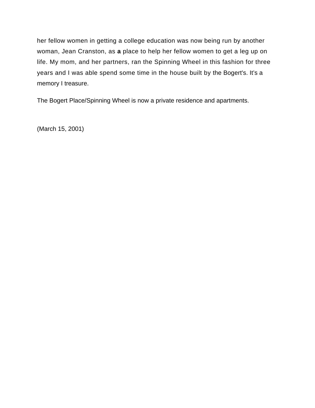her fellow women in getting a college education was now being run by another woman, Jean Cranston, as **a** place to help her fellow women to get a leg up on life. My mom, and her partners, ran the Spinning Wheel in this fashion for three years and I was able spend some time in the house built by the Bogert's. It's a memory I treasure.

The Bogert Place/Spinning Wheel is now a private residence and apartments.

(March 15, 2001)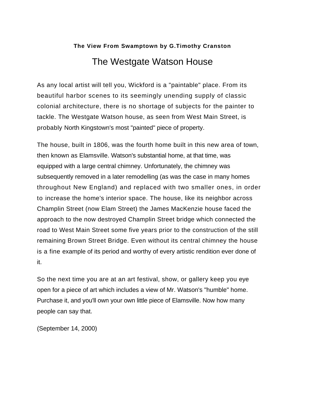## <span id="page-23-0"></span>**The View From Swamptown by G.Timothy Cranston** The Westgate Watson House

As any local artist will tell you, Wickford is a "paintable" place. From its beautiful harbor scenes to its seemingly unending supply of classic colonial architecture, there is no shortage of subjects for the painter to tackle. The Westgate Watson house, as seen from West Main Street, is probably North Kingstown's most "painted" piece of property.

The house, built in 1806, was the fourth home built in this new area of town, then known as Elamsville. Watson's substantial home, at that time, was equipped with a large central chimney. Unfortunately, the chimney was subsequently removed in a later remodelling (as was the case in many homes throughout New England) and replaced with two smaller ones, in order to increase the home's interior space. The house, like its neighbor across Champlin Street (now Elam Street) the James MacKenzie house faced the approach to the now destroyed Champlin Street bridge which connected the road to West Main Street some five years prior to the construction of the still remaining Brown Street Bridge. Even without its central chimney the house is a fine example of its period and worthy of every artistic rendition ever done of it.

So the next time you are at an art festival, show, or gallery keep you eye open for a piece of art which includes a view of Mr. Watson's "humble" home. Purchase it, and you'll own your own little piece of Elamsville. Now how many people can say that.

(September 14, 2000)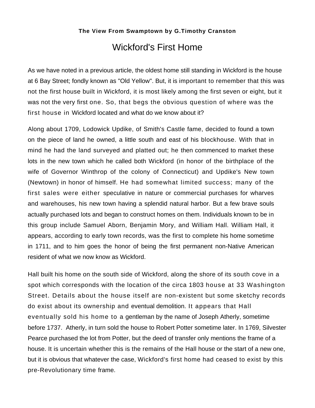## Wickford's First Home

<span id="page-24-0"></span>As we have noted in a previous article, the oldest home still standing in Wickford is the house at 6 Bay Street; fondly known as "Old Yellow". But, it is important to remember that this was not the first house built in Wickford, it is most likely among the first seven or eight, but it was not the very first one. So, that begs the obvious question of where was the first house in Wickford located and what do we know about it?

Along about 1709, Lodowick Updike, of Smith's Castle fame, decided to found a town on the piece of land he owned, a little south and east of his blockhouse. With that in mind he had the land surveyed and platted out; he then commenced to market these lots in the new town which he called both Wickford (in honor of the birthplace of the wife of Governor Winthrop of the colony of Connecticut) and Updike's New town (Newtown) in honor of himself. He had somewhat limited success; many of the first sales were either speculative in nature or commercial purchases for wharves and warehouses, his new town having a splendid natural harbor. But a few brave souls actually purchased lots and began to construct homes on them. Individuals known to be in this group include Samuel Aborn, Benjamin Mory, and William Hall. William Hall, it appears, according to early town records, was the first to complete his home sometime in 1711, and to him goes the honor of being the first permanent non-Native American resident of what we now know as Wickford.

Hall built his home on the south side of Wickford, along the shore of its south cove in a spot which corresponds with the location of the circa 1803 house at 33 Washington Street. Details about the house itself are non-existent but some sketchy records do exist about its ownership and eventual demolition. It appears that Hall eventually sold his home to a gentleman by the name of Joseph Atherly, sometime before 1737. Atherly, in turn sold the house to Robert Potter sometime later. In 1769, Silvester Pearce purchased the lot from Potter, but the deed of transfer only mentions the frame of a house. It is uncertain whether this is the remains of the Hall house or the start of a new one, but it is obvious that whatever the case, Wickford's first home had ceased to exist by this pre-Revolutionary time frame.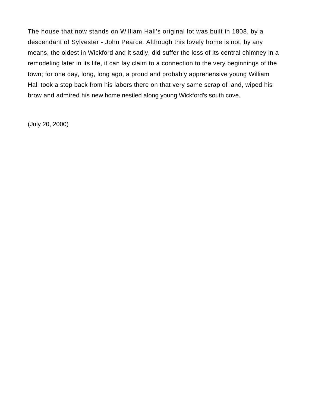The house that now stands on William Hall's original lot was built in 1808, by a descendant of Sylvester - John Pearce. Although this lovely home is not, by any means, the oldest in Wickford and it sadly, did suffer the loss of its central chimney in a remodeling later in its life, it can lay claim to a connection to the very beginnings of the town; for one day, long, long ago, a proud and probably apprehensive young William Hall took a step back from his labors there on that very same scrap of land, wiped his brow and admired his new home nestled along young Wickford's south cove.

(July 20, 2000)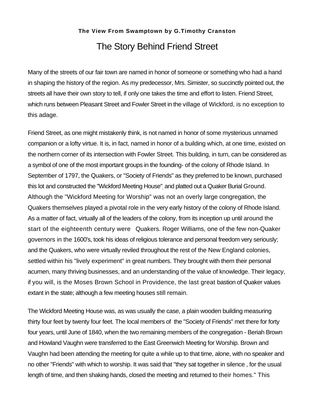## **The View From Swamptown by G.Timothy Cranston**  The Story Behind Friend Street

<span id="page-26-0"></span>Many of the streets of our fair town are named in honor of someone or something who had a hand in shaping the history of the region. As my predecessor, Mrs. Simister, so succinctly pointed out, the streets all have their own story to tell, if only one takes the time and effort to listen. Friend Street, which runs between Pleasant Street and Fowler Street in the village of Wickford, is no exception to this adage.

Friend Street, as one might mistakenly think, is not named in honor of some mysterious unnamed companion or a lofty virtue. It is, in fact, named in honor of a building which, at one time, existed on the northern corner of its intersection with Fowler Street. This building, in turn, can be considered as a symbol of one of the most important groups in the founding- of the colony of Rhode Island. In September of 1797, the Quakers, or "Society of Friends" as they preferred to be known, purchased this lot and constructed the "Wickford Meeting House", and platted out a Quaker Burial Ground. Although the "Wickford Meeting for Worship" was not an overly large congregation, the Quakers themselves played a pivotal role in the very early history of the colony of Rhode Island. As a matter of fact, virtually all of the leaders of the colony, from its inception up until around the start of the eighteenth century were Quakers. Roger Williams, one of the few non-Quaker governors in the 1600's, took his ideas of religious tolerance and personal freedom very seriously; and the Quakers, who were virtually reviled throughout the rest of the New England colonies, settled within his "lively experiment" in great numbers. They brought with them their personal acumen, many thriving businesses, and an understanding of the value of knowledge. Their legacy, if you will, is the Moses Brown School in Providence, the last great bastion of Quaker values extant in the state; although a few meeting houses still remain.

The Wickford Meeting House was, as was usually the case, a plain wooden building measuring thirty four feet by twenty four feet. The local members of the "Society of Friends" met there for forty four years, until June of 1840, when the two remaining members of the congregation - Beriah Brown and Howland Vaughn were transferred to the East Greenwich Meeting for Worship. Brown and Vaughn had been attending the meeting for quite a while up to that time, alone, with no speaker and no other "Friends" with which to worship. It was said that "they sat together in silence , for the usual length of time, and then shaking hands, closed the meeting and returned to their homes." This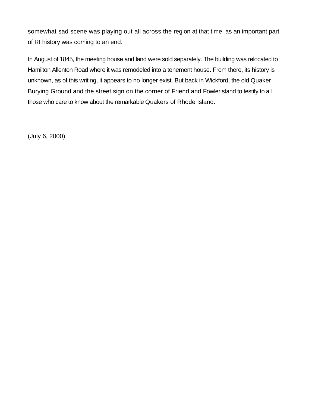somewhat sad scene was playing out all across the region at that time, as an important part of RI history was coming to an end.

In August of 1845, the meeting house and land were sold separately. The building was relocated to Hamilton Allenton Road where it was remodeled into a tenement house. From there, its history is unknown, as of this writing, it appears to no longer exist. But back in Wickford, the old Quaker Burying Ground and the street sign on the corner of Friend and Fowler stand to testify to all those who care to know about the remarkable Quakers of Rhode Island.

(July 6, 2000)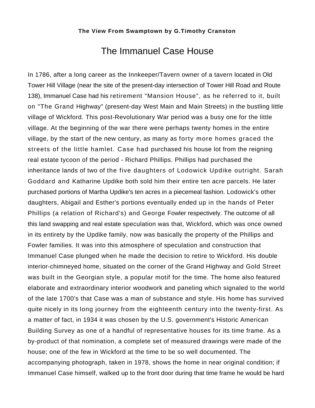## The Immanuel Case House

<span id="page-28-0"></span>In 1786, after a long career as the Innkeeper/Tavern owner of a tavern located in Old Tower Hill Village (near the site of the present-day intersection of Tower Hill Road and Route 138), Immanuel Case had his retirement "Mansion House", as he referred to it, built on "The Grand Highway" (present-day West Main and Main Streets) in the bustling little village of Wickford. This post-Revolutionary War period was a busy one for the little village. At the beginning of the war there were perhaps twenty homes in the entire village, by the start of the new century, as many as forty more homes graced the streets of the little hamlet. Case had purchased his house lot from the reigning real estate tycoon of the period - Richard Phillips. Phillips had purchased the inheritance lands of two of the five daughters of Lodowick Updike outright. Sarah Goddard and Katharine Updike both sold him their entire ten acre parcels. He later purchased portions of Martha Updike's ten acres in a piecemeal fashion. Lodowick's other daughters, Abigail and Esther's portions eventually ended up in the hands of Peter Phillips (a relation of Richard's) and George Fowler respectively. The outcome of all this land swapping and real estate speculation was that, Wickford, which was once owned in its entirety by the Updike family, now was basically the property of the Phillips and Fowler families. It was into this atmosphere of speculation and construction that Immanuel Case plunged when he made the decision to retire to Wickford. His double interior-chimneyed home, situated on the corner of the Grand Highway and Gold Street was built in the Georgian style, a popular motif for the time. The home also featured elaborate and extraordinary interior woodwork and paneling which signaled to the world of the late 1700's that Case was a man of substance and style. His home has survived quite nicely in its long journey from the eighteenth century into the twenty-first. As a matter of fact, in 1934 it was chosen by the U.S. government's Historic American Building Survey as one of a handful of representative houses for its time frame. As a by-product of that nomination, a complete set of measured drawings were made of the house; one of the few in Wickford at the time to be so well documented. The accompanying photograph, taken in 1978, shows the home in near original condition; if Immanuel Case himself, walked up to the front door during that time frame he would be hard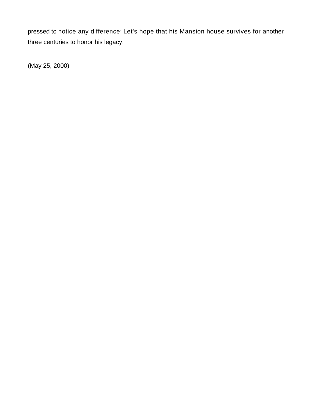pressed to notice any difference: Let's hope that his Mansion house survives for another three centuries to honor his legacy.

(May 25, 2000)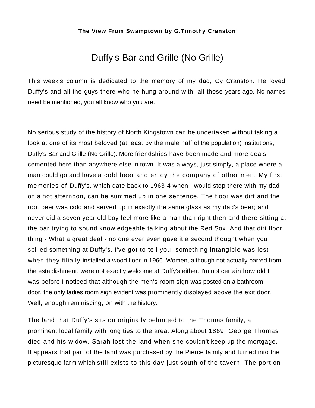## Duffy's Bar and Grille (No Grille)

<span id="page-30-0"></span>This week's column is dedicated to the memory of my dad, Cy Cranston. He loved Duffy's and all the guys there who he hung around with, all those years ago. No names need be mentioned, you all know who you are.

No serious study of the history of North Kingstown can be undertaken without taking a look at one of its most beloved (at least by the male half of the population) institutions, Duffy's Bar and Grille (No Grille). More friendships have been made and more deals cemented here than anywhere else in town. It was always, just simply, a place where a man could go and have a cold beer and enjoy the company of other men. My first memories of Duffy's, which date back to 1963-4 when I would stop there with my dad on a hot afternoon, can be summed up in one sentence. The floor was dirt and the root beer was cold and served up in exactly the same glass as my dad's beer; and never did a seven year old boy feel more like a man than right then and there sitting at the bar trying to sound knowledgeable talking about the Red Sox. And that dirt floor thing - What a great deal - no one ever even gave it a second thought when you spilled something at Duffy's. I've got to tell you, something intangible was lost when they filially installed a wood floor in 1966. Women, although not actually barred from the establishment, were not exactly welcome at Duffy's either. I'm not certain how old I was before I noticed that although the men's room sign was posted on a bathroom door, the only ladies room sign evident was prominently displayed above the exit door. Well, enough reminiscing, on with the history.

The land that Duffy's sits on originally belonged to the Thomas family, a prominent local family with long ties to the area. Along about 1869, George Thomas died and his widow, Sarah lost the land when she couldn't keep up the mortgage. It appears that part of the land was purchased by the Pierce family and turned into the picturesque farm which still exists to this day just south of the tavern. The portion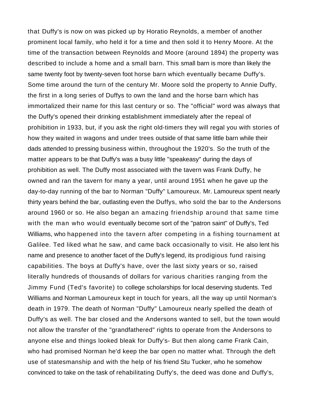that Duffy's is now on was picked up by Horatio Reynolds, a member of another prominent local family, who held it for a time and then sold it to Henry Moore. At the time of the transaction between Reynolds and Moore (around 1894) the property was described to include a home and a small barn. This small barn is more than likely the same twenty foot by twenty-seven foot horse barn which eventually became Duffy's. Some time around the turn of the century Mr. Moore sold the property to Annie Duffy, the first in a long series of Duffys to own the land and the horse barn which has immortalized their name for this last century or so. The "official" word was always that the Duffy's opened their drinking establishment immediately after the repeal of prohibition in 1933, but, if you ask the right old-timers they will regal you with stories of how they waited in wagons and under trees outside of that same little barn while their dads attended to pressing business within, throughout the 1920's. So the truth of the matter appears to be that Duffy's was a busy little "speakeasy" during the days of prohibition as well. The Duffy most associated with the tavern was Frank Duffy, he owned and ran the tavern for many a year, until around 1951 when he gave up the day-to-day running of the bar to Norman "Duffy" Lamoureux. Mr. Lamoureux spent nearly thirty years behind the bar, outlasting even the Duffys, who sold the bar to the Andersons around 1960 or so. He also began an amazing friendship around that same time with the man who would eventually become sort of the "patron saint" of Duffy's, Ted Williams, who happened into the tavern after competing in a fishing tournament at Galilee. Ted liked what he saw, and came back occasionally to visit. He also lent his name and presence to another facet of the Duffy's legend, its prodigious fund raising capabilities. The boys at Duffy's have, over the last sixty years or so, raised literally hundreds of thousands of dollars for various charities ranging from the Jimmy Fund (Ted's favorite) to college scholarships for local deserving students. Ted Williams and Norman Lamoureux kept in touch for years, all the way up until Norman's death in 1979. The death of Norman "Duffy" Lamoureux nearly spelled the death of Duffy's as well. The bar closed and the Andersons wanted to sell, but the town would not allow the transfer of the "grandfathered" rights to operate from the Andersons to anyone else and things looked bleak for Duffy's- But then along came Frank Cain, who had promised Norman he'd keep the bar open no matter what. Through the deft use of statesmanship and with the help of his friend Stu Tucker, who he somehow convinced to take on the task of rehabilitating Duffy's, the deed was done and Duffy's,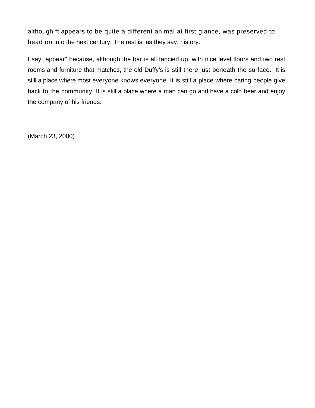although ft appears to be quite a different animal at first glance, was preserved to head on into the next century. The rest is, as they say, history.

I say "appear" because, although the bar is all fancied up, with nice level floors and two rest rooms and furniture that matches, the old Duffy's is still there just beneath the surface. It is still a place where most everyone knows everyone. It is still a place where caring people give back to the community. It is still a place where a man can go and have a cold beer and enjoy the company of his friends.

(March 23, 2000)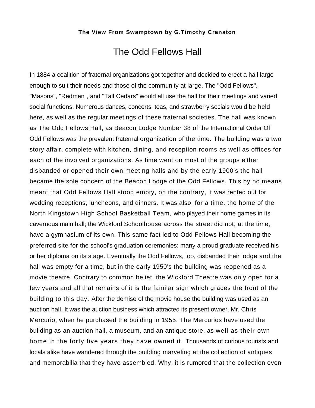## The Odd Fellows Hall

<span id="page-33-0"></span>In 1884 a coalition of fraternal organizations got together and decided to erect a hall large enough to suit their needs and those of the community at large. The "Odd Fellows", "Masons", "Redmen", and "Tall Cedars" would all use the hall for their meetings and varied social functions. Numerous dances, concerts, teas, and strawberry socials would be held here, as well as the regular meetings of these fraternal societies. The hall was known as The Odd Fellows Hall, as Beacon Lodge Number 38 of the International Order Of Odd Fellows was the prevalent fraternal organization of the time. The building was a two story affair, complete with kitchen, dining, and reception rooms as well as offices for each of the involved organizations. As time went on most of the groups either disbanded or opened their own meeting halls and by the early 1900's the hall became the sole concern of the Beacon Lodge of the Odd Fellows. This by no means meant that Odd Fellows Hall stood empty, on the contrary, it was rented out for wedding receptions, luncheons, and dinners. It was also, for a time, the home of the North Kingstown High School Basketball Team, who played their home games in its cavernous main hall; the Wickford Schoolhouse across the street did not, at the time, have a gymnasium of its own. This same fact led to Odd Fellows Hall becoming the preferred site for the school's graduation ceremonies; many a proud graduate received his or her diploma on its stage. Eventually the Odd Fellows, too, disbanded their lodge and the hall was empty for a time, but in the early 1950's the building was reopened as a movie theatre. Contrary to common belief, the Wickford Theatre was only open for a few years and all that remains of it is the familar sign which graces the front of the building to this day. After the demise of the movie house the building was used as an auction hall. It was the auction business which attracted its present owner, Mr. Chris Mercurio, when he purchased the building in 1955. The Mercurios have used the building as an auction hall, a museum, and an antique store, as well as their own home in the forty five years they have owned it. Thousands of curious tourists and locals alike have wandered through the building marveling at the collection of antiques and memorabilia that they have assembled. Why, it is rumored that the collection even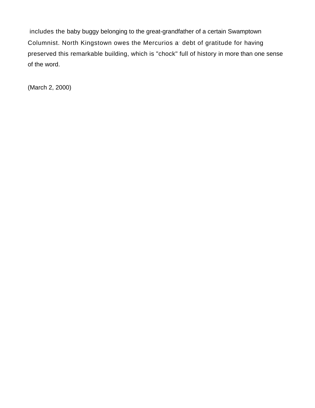includes the baby buggy belonging to the great-grandfather of a certain Swamptown Columnist. North Kingstown owes the Mercurios a debt of gratitude for having preserved this remarkable building, which is "chock" full of history in more than one sense of the word.

(March 2, 2000)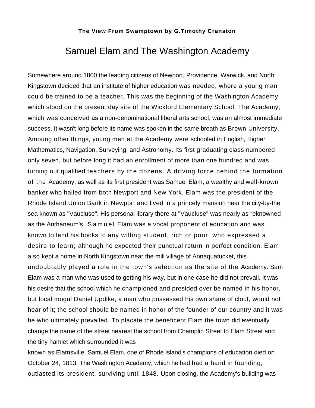### Samuel Elam and The Washington Academy

<span id="page-35-0"></span>Somewhere around 1800 the leading citizens of Newport, Providence, Warwick, and North Kingstown decided that an institute of higher education was needed, where a young man could be trained to be a teacher. This was the beginning of the Washington Academy which stood on the present day site of the Wickford Elementary School. The Academy, which was conceived as a non-denominational liberal arts school, was an almost immediate success. It wasn't long before its name was spoken in the same breath as Brown University. Amoung other things, young men at the Academy were schooled in English, Higher Mathematics, Navigation, Surveying, and Astronomy. Its first graduating class numbered only seven, but before long it had an enrollment of more than one hundred and was turning out qualified teachers by the dozens. A driving force behind the formation of the Academy, as well as its first president was Samuel Elam, a wealthy and well-known banker who hailed from both Newport and New York. Elam was the president of the Rhode Island Union Bank in Newport and lived in a princely mansion near the city-by-the sea known as "Vaucluse". His personal library there at "Vaucluse" was nearly as reknowned as the Anthaneum's. Samuel Elam was a vocal proponent of education and was known to lend his books to any willing student, rich or poor, who expressed a desire to learn; although he expected their punctual return in perfect condition. Elam also kept a home in North Kingstown near the mill village of Annaquatucket, this undoubtably played a role in the town's selection as the site of the Academy. Sam Elam was a man who was used to getting his way, but in one case he did not prevail. It was his desire that the school which he championed and presided over be named in his honor, but local mogul Daniel Updike, a man who possessed his own share of clout, would not hear of it; the school should be named in honor of the founder of our country and it was he who ultimately prevailed. To placate the beneficent Elam the town did eventually change the name of the street nearest the school from Champlin Street to Elam Street and the tiny hamlet which surrounded it was

known as Elamsville. Samuel Elam, one of Rhode Island's champions of education died on October 24, 1813. The Washington Academy, which he had had a hand in founding, outlasted its president, surviving until 1848. Upon closing, the Academy's building was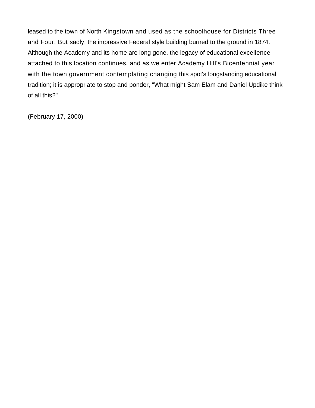leased to the town of North Kingstown and used as the schoolhouse for Districts Three and Four. But sadly, the impressive Federal style building burned to the ground in 1874. Although the Academy and its home are long gone, the legacy of educational excellence attached to this location continues, and as we enter Academy Hill's Bicentennial year with the town government contemplating changing this spot's longstanding educational tradition; it is appropriate to stop and ponder, "What might Sam Elam and Daniel Updike think of all this?"

(February 17, 2000)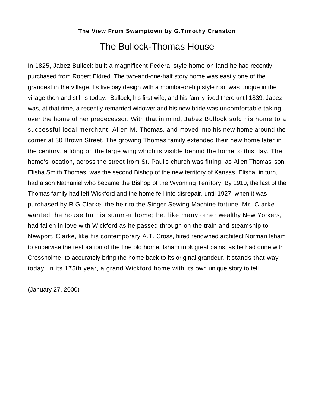## **The View From Swamptown by G.Timothy Cranston**  The Bullock-Thomas House

<span id="page-37-0"></span>In 1825, Jabez Bullock built a magnificent Federal style home on land he had recently purchased from Robert Eldred. The two-and-one-half story home was easily one of the grandest in the village. Its five bay design with a monitor-on-hip style roof was unique in the village then and still is today. Bullock, his first wife, and his family lived there until 1839. Jabez was, at that time, a recently remarried widower and his new bride was uncomfortable taking over the home of her predecessor. With that in mind, Jabez Bullock sold his home to a successful local merchant, Allen M. Thomas, and moved into his new home around the corner at 30 Brown Street. The growing Thomas family extended their new home later in the century, adding on the large wing which is visible behind the home to this day. The home's location, across the street from St. Paul's church was fitting, as Allen Thomas' son, Elisha Smith Thomas, was the second Bishop of the new territory of Kansas. Elisha, in turn, had a son Nathaniel who became the Bishop of the Wyoming Territory. By 1910, the last of the Thomas family had left Wickford and the home fell into disrepair, until 1927, when it was purchased by R.G.Clarke, the heir to the Singer Sewing Machine fortune. Mr. Clarke wanted the house for his summer home; he, like many other wealthy New Yorkers, had fallen in love with Wickford as he passed through on the train and steamship to Newport. Clarke, like his contemporary A.T. Cross, hired renowned architect Norman Isham to supervise the restoration of the fine old home. Isham took great pains, as he had done with Crossholme, to accurately bring the home back to its original grandeur. It stands that way today, in its 175th year, a grand Wickford home with its own unique story to tell.

(January 27, 2000)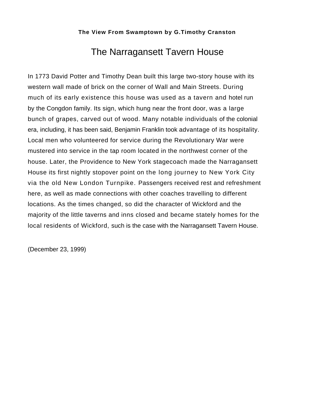## The Narragansett Tavern House

<span id="page-38-0"></span>In 1773 David Potter and Timothy Dean built this large two-story house with its western wall made of brick on the corner of Wall and Main Streets. During much of its early existence this house was used as a tavern and hotel run by the Congdon family. Its sign, which hung near the front door, was a large bunch of grapes, carved out of wood. Many notable individuals of the colonial era, including, it has been said, Benjamin Franklin took advantage of its hospitality. Local men who volunteered for service during the Revolutionary War were mustered into service in the tap room located in the northwest corner of the house. Later, the Providence to New York stagecoach made the Narragansett House its first nightly stopover point on the long journey to New York City via the old New London Turnpike. Passengers received rest and refreshment here, as well as made connections with other coaches travelling to different locations. As the times changed, so did the character of Wickford and the majority of the little taverns and inns closed and became stately homes for the local residents of Wickford, such is the case with the Narragansett Tavern House.

(December 23, 1999)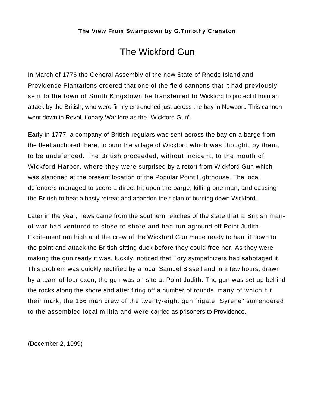## The Wickford Gun

<span id="page-39-0"></span>In March of 1776 the General Assembly of the new State of Rhode Island and Providence Plantations ordered that one of the field cannons that it had previously sent to the town of South Kingstown be transferred to Wickford to protect it from an attack by the British, who were firmly entrenched just across the bay in Newport. This cannon went down in Revolutionary War lore as the "Wickford Gun".

Early in 1777, a company of British regulars was sent across the bay on a barge from the fleet anchored there, to burn the village of Wickford which was thought, by them, to be undefended. The British proceeded, without incident, to the mouth of Wickford Harbor, where they were surprised by a retort from Wickford Gun which was stationed at the present location of the Popular Point Lighthouse. The local defenders managed to score a direct hit upon the barge, killing one man, and causing the British to beat a hasty retreat and abandon their plan of burning down Wickford.

Later in the year, news came from the southern reaches of the state that a British manof-war had ventured to close to shore and had run aground off Point Judith. Excitement ran high and the crew of the Wickford Gun made ready to haul it down to the point and attack the British sitting duck before they could free her. As they were making the gun ready it was, luckily, noticed that Tory sympathizers had sabotaged it. This problem was quickly rectified by a local Samuel Bissell and in a few hours, drawn by a team of four oxen, the gun was on site at Point Judith. The gun was set up behind the rocks along the shore and after firing off a number of rounds, many of which hit their mark, the 166 man crew of the twenty-eight gun frigate "Syrene" surrendered to the assembled local militia and were carried as prisoners to Providence.

(December 2, 1999)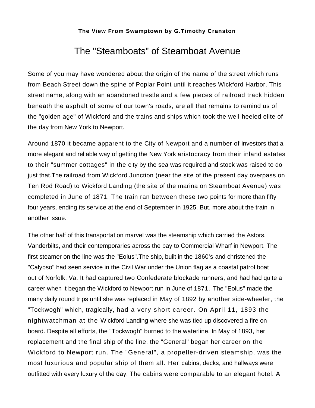## The "Steamboats" of Steamboat Avenue

<span id="page-40-0"></span>Some of you may have wondered about the origin of the name of the street which runs from Beach Street down the spine of Poplar Point until it reaches Wickford Harbor. This street name, along with an abandoned trestle and a few pieces of railroad track hidden beneath the asphalt of some of our town's roads, are all that remains to remind us of the "golden age" of Wickford and the trains and ships which took the well-heeled elite of the day from New York to Newport.

Around 1870 it became apparent to the City of Newport and a number of investors that a more elegant and reliable way of getting the New York aristocracy from their inland estates to their "summer cottages" in the city by the sea was required and stock was raised to do just that.The railroad from Wickford Junction (near the site of the present day overpass on Ten Rod Road) to Wickford Landing (the site of the marina on Steamboat Avenue) was completed in June of 1871. The train ran between these two points for more than fifty four years, ending its service at the end of September in 1925. But, more about the train in another issue.

The other half of this transportation marvel was the steamship which carried the Astors, Vanderbilts, and their contemporaries across the bay to Commercial Wharf in Newport. The first steamer on the line was the "Eolus".The ship, built in the 1860's and christened the "Calypso" had seen service in the Civil War under the Union flag as a coastal patrol boat out of Norfolk, Va. It had captured two Confederate blockade runners, and had had quite a career when it began the Wickford to Newport run in June of 1871. The "Eolus" made the many daily round trips until she was replaced in May of 1892 by another side-wheeler, the "Tockwogh" which, tragically, had a very short career. On April 11, 1893 the nightwatchman at the Wickford Landing where she was tied up discovered a fire on board. Despite all efforts, the "Tockwogh" burned to the waterline. In May of 1893, her replacement and the final ship of the line, the "General" began her career on the Wickford to Newport run. The "General", a propeller-driven steamship, was the most luxurious and popular ship of them all. Her cabins, decks, and hallways were outfitted with every luxury of the day. The cabins were comparable to an elegant hotel. A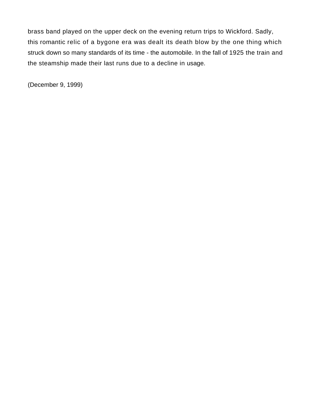brass band played on the upper deck on the evening return trips to Wickford. Sadly, this romantic relic of a bygone era was dealt its death blow by the one thing which struck down so many standards of its time - the automobile. In the fall of 1925 the train and the steamship made their last runs due to a decline in usage.

(December 9, 1999)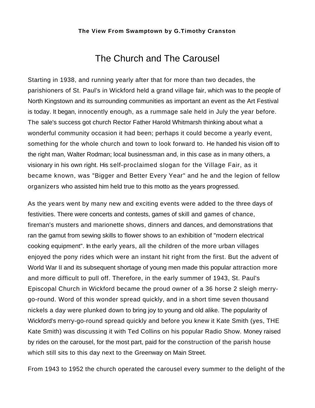## The Church and The Carousel

<span id="page-42-0"></span>Starting in 1938, and running yearly after that for more than two decades, the parishioners of St. Paul's in Wickford held a grand village fair, which was to the people of North Kingstown and its surrounding communities as important an event as the Art Festival is today. It began, innocently enough, as a rummage sale held in July the year before. The sale's success got church Rector Father Harold Whitmarsh thinking about what a wonderful community occasion it had been; perhaps it could become a yearly event, something for the whole church and town to look forward to. He handed his vision off to the right man, Walter Rodman; local businessman and, in this case as in many others, a visionary in his own right. His self-proclaimed slogan for the Village Fair, as it became known, was "Bigger and Better Every Year" and he and the legion of fellow organizers who assisted him held true to this motto as the years progressed.

As the years went by many new and exciting events were added to the three days of festivities. There were concerts and contests, games of skill and games of chance, fireman's musters and marionette shows, dinners and dances, and demonstrations that ran the gamut from sewing skills to flower shows to an exhibition of "modern electrical cooking equipment". In the early years, all the children of the more urban villages enjoyed the pony rides which were an instant hit right from the first. But the advent of World War II and its subsequent shortage of young men made this popular attraction more and more difficult to pull off. Therefore, in the early summer of 1943, St. Paul's Episcopal Church in Wickford became the proud owner of a 36 horse 2 sleigh merrygo-round. Word of this wonder spread quickly, and in a short time seven thousand nickels a day were plunked down to bring joy to young and old alike. The popularity of Wickford's merry-go-round spread quickly and before you knew it Kate Smith (yes, THE Kate Smith) was discussing it with Ted Collins on his popular Radio Show. Money raised by rides on the carousel, for the most part, paid for the construction of the parish house which still sits to this day next to the Greenway on Main Street.

From 1943 to 1952 the church operated the carousel every summer to the delight of the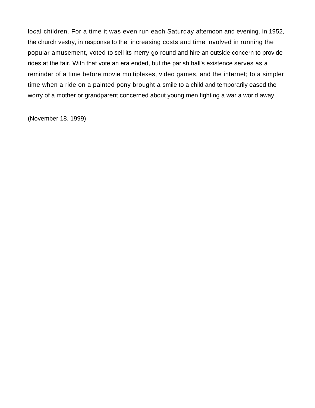local children. For a time it was even run each Saturday afternoon and evening. In 1952, the church vestry, in response to the increasing costs and time involved in running the popular amusement, voted to sell its merry-go-round and hire an outside concern to provide rides at the fair. With that vote an era ended, but the parish hall's existence serves as a reminder of a time before movie multiplexes, video games, and the internet; to a simpler time when a ride on a painted pony brought a smile to a child and temporarily eased the worry of a mother or grandparent concerned about young men fighting a war a world away.

(November 18, 1999)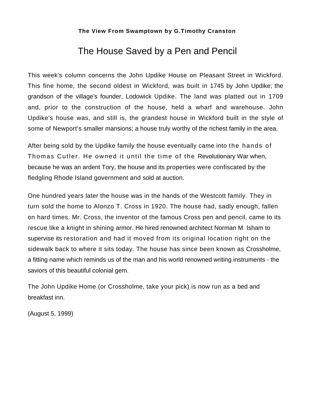## The House Saved by a Pen and Pencil

<span id="page-44-0"></span>This week's column concerns the John Updike House on Pleasant Street in Wickford. This fine home, the second oldest in Wickford, was built in 1745 by John Updike; the grandson of the village's founder, Lodowick Updike. The land was platted out in 1709 and, prior to the construction of the house, held a wharf and warehouse. John Updike's house was, and still is, the grandest house in Wickford built in the style of some of Newport's smaller mansions; a house truly worthy of the richest family in the area.

After being sold by the Updike family the house eventually came into the hands of Thomas Cutler. He owned it until the time of the Revolutionary War when, because he was an ardent Tory, the house and its properties were confiscated by the fledgling Rhode Island government and sold at auction.

One hundred years later the house was in the hands of the Westcott family. They in turn sold the home to Alonzo T. Cross in 1920. The house had, sadly enough, fallen on hard times. Mr. Cross, the inventor of the famous Cross pen and pencil, came to its rescue like a knight in shining armor. He hired renowned architect Norman M. Isham to supervise its restoration and had it moved from its original location right on the sidewalk back to where it sits today. The house has since been known as Crossholme, a fitting name which reminds us of the man and his world renowned writing instruments - the saviors of this beautiful colonial gem.

The John Updike Home (or Crossholme, take your pick) is now run as a bed and breakfast inn.

(August 5, 1999)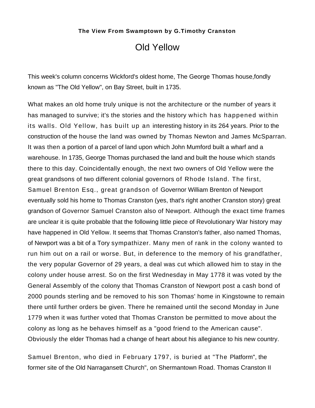## Old Yellow

<span id="page-45-0"></span>This week's column concerns Wickford's oldest home, The George Thomas house,fondly known as "The Old Yellow", on Bay Street, built in 1735.

What makes an old home truly unique is not the architecture or the number of years it has managed to survive; it's the stories and the history which has happened within its walls. Old Yellow, has built up an interesting history in its 264 years. Prior to the construction of the house the land was owned by Thomas Newton and James McSparran. It was then a portion of a parcel of land upon which John Mumford built a wharf and a warehouse. In 1735, George Thomas purchased the land and built the house which stands there to this day. Coincidentally enough, the next two owners of Old Yellow were the great grandsons of two different colonial governors of Rhode Island. The first, Samuel Brenton Esq., great grandson of Governor William Brenton of Newport eventually sold his home to Thomas Cranston (yes, that's right another Cranston story) great grandson of Governor Samuel Cranston also of Newport. Although the exact time frames are unclear it is quite probable that the following little piece of Revolutionary War history may have happened in Old Yellow. It seems that Thomas Cranston's father, also named Thomas, of Newport was a bit of a Tory sympathizer. Many men of rank in the colony wanted to run him out on a rail or worse. But, in deference to the memory of his grandfather, the very popular Governor of 29 years, a deal was cut which allowed him to stay in the colony under house arrest. So on the first Wednesday in May 1778 it was voted by the General Assembly of the colony that Thomas Cranston of Newport post a cash bond of 2000 pounds sterling and be removed to his son Thomas' home in Kingstowne to remain there until further orders be given. There he remained until the second Monday in June 1779 when it was further voted that Thomas Cranston be permitted to move about the colony as long as he behaves himself as a "good friend to the American cause". Obviously the elder Thomas had a change of heart about his allegiance to his new country.

Samuel Brenton, who died in February 1797, is buried at "The Platform", the former site of the Old Narragansett Church", on Shermantown Road. Thomas Cranston II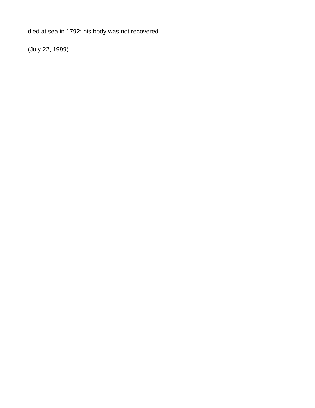died at sea in 1792; his body was not recovered.

(July 22, 1999)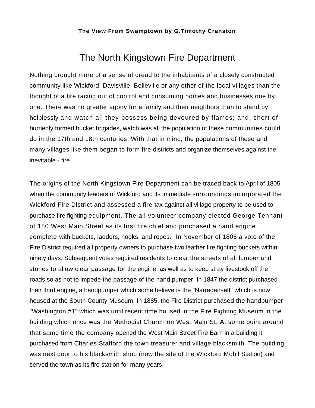## The North Kingstown Fire Department

<span id="page-47-0"></span>Nothing brought more of a sense of dread to the inhabitants of a closely constructed community like Wickford, Davisville, Belleville or any other of the local villages than the thought of a fire racing out of control and consuming homes and businesses one by one. There was no greater agony for a family and their neighbors than to stand by helplessly and watch all they possess being devoured by flames; and, short of hurriedly formed bucket brigades, watch was all the population of these communities could do in the 17th and 18th centuries. With that in mind, the populations of these and many villages like them began to form fire districts and organize themselves against the inevitable - fire.

The origins of the North Kingstown Fire Department can be traced back to April of 1805 when the community leaders of Wickford and its immediate surroundings incorporated the Wickford Fire District and assessed a fire tax against all village property to be used to purchase fire fighting equipment. The all volunteer company elected George Tennant of 180 West Main Street as its first fire chief and purchased a hand engine complete with buckets, ladders, hooks, and ropes. In November of 1806 a vote of the Fire District required all property owners to purchase two leather fire fighting buckets within ninety days. Subsequent votes required residents to clear the streets of all lumber and stones to allow clear passage for the engine, as well as to keep stray livestock off the roads so as not to impede the passage of the hand pumper. In 1847 the district purchased their third engine, a handpumper which some believe is the "Narragansett" which is now housed at the South County Museum. In 1885, the Fire District purchased the handpumper "Washington #1" which was until recent time housed in the Fire Fighting Museum in the building which once was the Methodist Church on West Main St. At some point around that same time the company opened the West Main Street Fire Barn in a building it purchased from Charles Stafford the town treasurer and village blacksmith. The building was next door to his blacksmith shop (now the site of the Wickford Mobil Station) and served the town as its fire station for many years.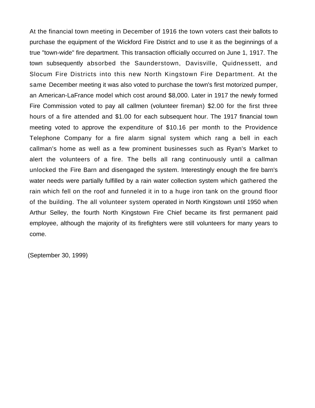At the financial town meeting in December of 1916 the town voters cast their ballots to purchase the equipment of the Wickford Fire District and to use it as the beginnings of a true "town-wide" fire department. This transaction officially occurred on June 1, 1917. The town subsequently absorbed the Saunderstown, Davisville, Quidnessett, and Slocum Fire Districts into this new North Kingstown Fire Department. At the same December meeting it was also voted to purchase the town's first motorized pumper, an American-LaFrance model which cost around \$8,000. Later in 1917 the newly formed Fire Commission voted to pay all callmen (volunteer fireman) \$2.00 for the first three hours of a fire attended and \$1.00 for each subsequent hour. The 1917 financial town meeting voted to approve the expenditure of \$10.16 per month to the Providence Telephone Company for a fire alarm signal system which rang a bell in each callman's home as well as a few prominent businesses such as Ryan's Market to alert the volunteers of a fire. The bells all rang continuously until a callman unlocked the Fire Barn and disengaged the system. Interestingly enough the fire barn's water needs were partially fulfilled by a rain water collection system which gathered the rain which fell on the roof and funneled it in to a huge iron tank on the ground floor of the building. The all volunteer system operated in North Kingstown until 1950 when Arthur Selley, the fourth North Kingstown Fire Chief became its first permanent paid employee, although the majority of its firefighters were still volunteers for many years to come.

(September 30, 1999)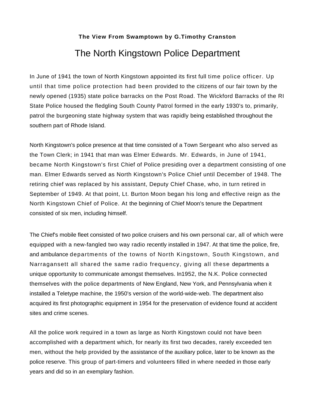## The North Kingstown Police Department

<span id="page-49-0"></span>In June of 1941 the town of North Kingstown appointed its first full time police officer. Up until that time police protection had been provided to the citizens of our fair town by the newly opened (1935) state police barracks on the Post Road. The Wickford Barracks of the RI State Police housed the fledgling South County Patrol formed in the early 1930's to, primarily, patrol the burgeoning state highway system that was rapidly being established throughout the southern part of Rhode Island.

North Kingstown's police presence at that time consisted of a Town Sergeant who also served as the Town Clerk; in 1941 that man was Elmer Edwards. Mr. Edwards, in June of 1941, became North Kingstown's first Chief of Police presiding over a department consisting of one man. Elmer Edwards served as North Kingstown's Police Chief until December of 1948. The retiring chief was replaced by his assistant, Deputy Chief Chase, who, in turn retired in September of 1949. At that point, Lt. Burton Moon began his long and effective reign as the North Kingstown Chief of Police. At the beginning of Chief Moon's tenure the Department consisted of six men, including himself.

The Chief's mobile fleet consisted of two police cruisers and his own personal car, all of which were equipped with a new-fangled two way radio recently installed in 1947. At that time the police, fire, and ambulance departments of the towns of North Kingstown, South Kingstown, and Narragansett all shared the same radio frequency, giving all these departments a unique opportunity to communicate amongst themselves. In1952, the N.K. Police connected themselves with the police departments of New England, New York, and Pennsylvania when it installed a Teletype machine, the 1950's version of the world-wide-web. The department also acquired its first photographic equipment in 1954 for the preservation of evidence found at accident sites and crime scenes.

All the police work required in a town as large as North Kingstown could not have been accomplished with a department which, for nearly its first two decades, rarely exceeded ten men, without the help provided by the assistance of the auxiliary police, later to be known as the police reserve. This group of part-timers and volunteers filled in where needed in those early years and did so in an exemplary fashion.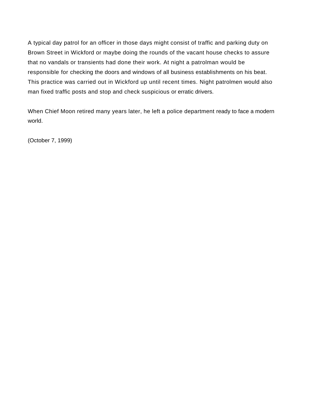A typical day patrol for an officer in those days might consist of traffic and parking duty on Brown Street in Wickford or maybe doing the rounds of the vacant house checks to assure that no vandals or transients had done their work. At night a patrolman would be responsible for checking the doors and windows of all business establishments on his beat. This practice was carried out in Wickford up until recent times. Night patrolmen would also man fixed traffic posts and stop and check suspicious or erratic drivers.

When Chief Moon retired many years later, he left a police department ready to face a modern world.

(October 7, 1999)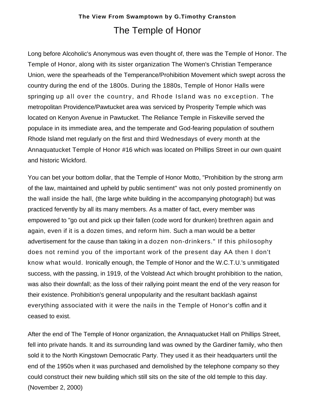## **The View From Swamptown by G.Timothy Cranston** The Temple of Honor

<span id="page-51-0"></span>Long before Alcoholic's Anonymous was even thought of, there was the Temple of Honor. The Temple of Honor, along with its sister organization The Women's Christian Temperance Union, were the spearheads of the Temperance/Prohibition Movement which swept across the country during the end of the 1800s. During the 1880s, Temple of Honor Halls were springing up all over the country, and Rhode Island was no exception. The metropolitan Providence/Pawtucket area was serviced by Prosperity Temple which was located on Kenyon Avenue in Pawtucket. The Reliance Temple in Fiskeville served the populace in its immediate area, and the temperate and God-fearing population of southern Rhode Island met regularly on the first and third Wednesdays of every month at the Annaquatucket Temple of Honor #16 which was located on Phillips Street in our own quaint and historic Wickford.

You can bet your bottom dollar, that the Temple of Honor Motto, "Prohibition by the strong arm of the law, maintained and upheld by public sentiment" was not only posted prominently on the wall inside the hall, (the large white building in the accompanying photograph) but was practiced fervently by all its many members. As a matter of fact, every member was empowered to "go out and pick up their fallen (code word for drunken) brethren again and again, even if it is a dozen times, and reform him. Such a man would be a better advertisement for the cause than taking in a dozen non-drinkers." If this philosophy does not remind you of the important work of the present day AA then I don't know what would. Ironically enough, the Temple of Honor and the W.C.T.U.'s unmitigated success, with the passing, in 1919, of the Volstead Act which brought prohibition to the nation, was also their downfall; as the loss of their rallying point meant the end of the very reason for their existence. Prohibition's general unpopularity and the resultant backlash against everything associated with it were the nails in the Temple of Honor's coffin and it ceased to exist.

After the end of The Temple of Honor organization, the Annaquatucket Hall on Phillips Street, fell into private hands. It and its surrounding land was owned by the Gardiner family, who then sold it to the North Kingstown Democratic Party. They used it as their headquarters until the end of the 1950s when it was purchased and demolished by the telephone company so they could construct their new building which still sits on the site of the old temple to this day. (November 2, 2000)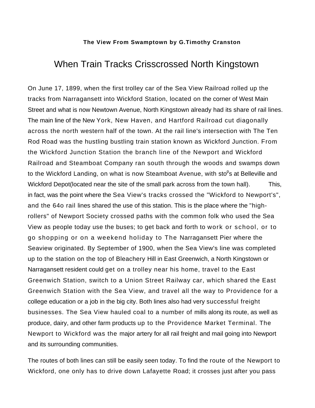## <span id="page-52-0"></span>When Train Tracks Crisscrossed North Kingstown

On June 17, 1899, when the first trolley car of the Sea View Railroad rolled up the tracks from Narragansett into Wickford Station, located on the corner of West Main Street and what is now Newtown Avenue, North Kingstown already had its share of rail lines. The main line of the New York, New Haven, and Hartford Railroad cut diagonally across the north western half of the town. At the rail line's intersection with The Ten Rod Road was the hustling bustling train station known as Wickford Junction. From the Wickford Junction Station the branch line of the Newport and Wickford Railroad and Steamboat Company ran south through the woods and swamps down to the Wickford Landing, on what is now Steamboat Avenue, with sto<sup>p</sup>s at Belleville and Wickford Depot(located near the site of the small park across from the town hall). This, in fact, was the point where the Sea View's tracks crossed the "Wickford to Newport's", and the 64o rail lines shared the use of this station. This is the place where the "highrollers" of Newport Society crossed paths with the common folk who used the Sea View as people today use the buses; to get back and forth to work or school, or to go shopping or on a weekend holiday to The Narragansett Pier where the Seaview originated. By September of 1900, when the Sea View's line was completed up to the station on the top of Bleachery Hill in East Greenwich, a North Kingstown or Narragansett resident could get on a trolley near his home, travel to the East Greenwich Station, switch to a Union Street Railway car, which shared the East Greenwich Station with the Sea View, and travel all the way to Providence for a college education or a job in the big city. Both lines also had very successful freight businesses. The Sea View hauled coal to a number of mills along its route, as well as produce, dairy, and other farm products up to the Providence Market Terminal. The Newport to Wickford was the major artery for all rail freight and mail going into Newport and its surrounding communities.

The routes of both lines can still be easily seen today. To find the route of the Newport to Wickford, one only has to drive down Lafayette Road; it crosses just after you pass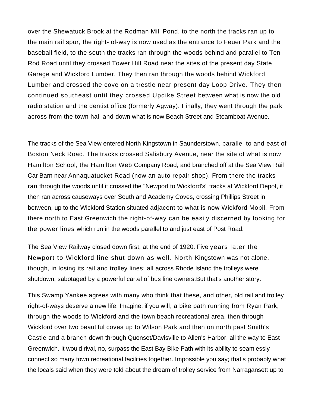over the Shewatuck Brook at the Rodman Mill Pond, to the north the tracks ran up to the main rail spur, the right- of-way is now used as the entrance to Feuer Park and the baseball field, to the south the tracks ran through the woods behind and parallel to Ten Rod Road until they crossed Tower Hill Road near the sites of the present day State Garage and Wickford Lumber. They then ran through the woods behind Wickford Lumber and crossed the cove on a trestle near present day Loop Drive. They then continued southeast until they crossed Updike Street between what is now the old radio station and the dentist office (formerly Agway). Finally, they went through the park across from the town hall and down what is now Beach Street and Steamboat Avenue.

The tracks of the Sea View entered North Kingstown in Saunderstown, parallel to and east of Boston Neck Road. The tracks crossed Salisbury Avenue, near the site of what is now Hamilton School, the Hamilton Web Company Road, and branched off at the Sea View Rail Car Barn near Annaquatucket Road (now an auto repair shop). From there the tracks ran through the woods until it crossed the "Newport to Wickford's" tracks at Wickford Depot, it then ran across causeways over South and Academy Coves, crossing Phillips Street in between, up to the Wickford Station situated adjacent to what is now Wickford Mobil. From there north to East Greenwich the right-of-way can be easily discerned by looking for the power lines which run in the woods parallel to and just east of Post Road.

The Sea View Railway closed down first, at the end of 1920. Five years later the Newport to Wickford line shut down as well. North Kingstown was not alone, though, in losing its rail and trolley lines; all across Rhode Island the trolleys were shutdown, sabotaged by a powerful cartel of bus line owners.But that's another story.

This Swamp Yankee agrees with many who think that these, and other, old rail and trolley right-of-ways deserve a new life. Imagine, if you will, a bike path running from Ryan Park, through the woods to Wickford and the town beach recreational area, then through Wickford over two beautiful coves up to Wilson Park and then on north past Smith's Castle and a branch down through Quonset/Davisville to Allen's Harbor, all the way to East Greenwich. It would rival, no, surpass the East Bay Bike Path with its ability to seamlessly connect so many town recreational facilities together. Impossible you say; that's probably what the locals said when they were told about the dream of trolley service from Narragansett up to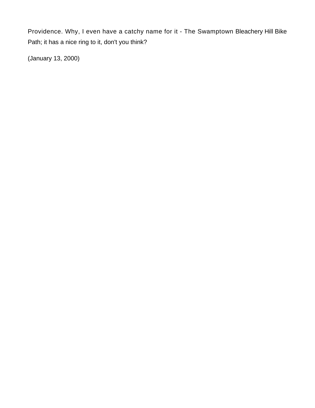Providence. Why, I even have a catchy name for it - The Swamptown Bleachery Hill Bike Path; it has a nice ring to it, don't you think?

(January 13, 2000)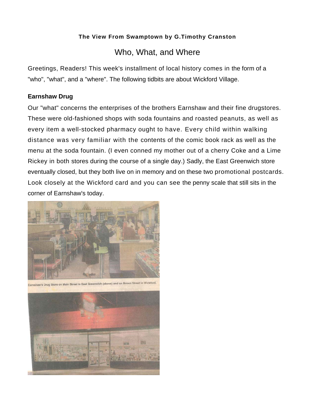### Who, What, and Where

<span id="page-55-0"></span>Greetings, Readers! This week's installment of local history comes in the form of a "who", "what", and a "where". The following tidbits are about Wickford Village.

#### **Earnshaw Drug**

Our "what" concerns the enterprises of the brothers Earnshaw and their fine drugstores. These were old-fashioned shops with soda fountains and roasted peanuts, as well as every item a well-stocked pharmacy ought to have. Every child within walking distance was very familiar with the contents of the comic book rack as well as the menu at the soda fountain. (I even conned my mother out of a cherry Coke and a Lime Rickey in both stores during the course of a single day.) Sadly, the East Greenwich store eventually closed, but they both live on in memory and on these two promotional postcards. Look closely at the Wickford card and you can see the penny scale that still sits in the corner of Earnshaw's today.



Earnshaw's Drug Store on Main Street in East Greenwich (above) and on Brown Street in Wickford

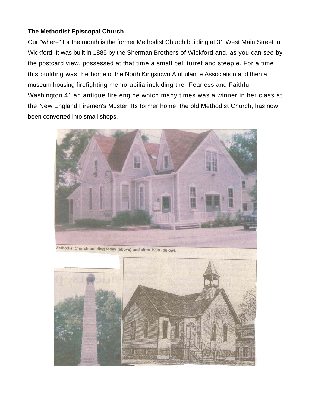#### <span id="page-56-0"></span>**The Methodist Episcopal Church**

Our "where" for the month is the former Methodist Church building at 31 West Main Street in Wickford. It was built in 1885 by the Sherman Brothers of Wickford and, as you can *see* by the postcard view, possessed at that time a small bell turret and steeple. For a time this building was the home of the North Kingstown Ambulance Association and then a museum housing firefighting memorabilia including the "Fearless and Faithful Washington 41 an antique fire engine which many times was a winner in her class at the New England Firemen's Muster. Its former home, the old Methodist Church, has now been converted into small shops.



Wethodist Church building today (above) and circa 1900 (below).

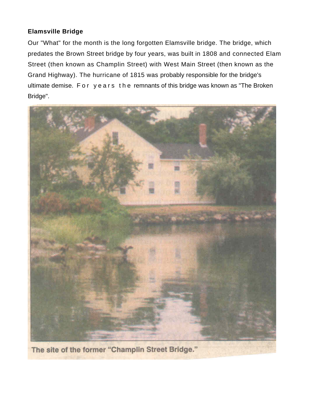#### <span id="page-57-0"></span>**Elamsville Bridge**

Our "What" for the month is the long forgotten Elamsville bridge. The bridge, which predates the Brown Street bridge by four years, was built in 1808 and connected Elam Street (then known as Champlin Street) with West Main Street (then known as the Grand Highway). The hurricane of 1815 was probably responsible for the bridge's ultimate demise. For years the remnants of this bridge was known as "The Broken Bridge".



The site of the former "Champlin Street Bridge."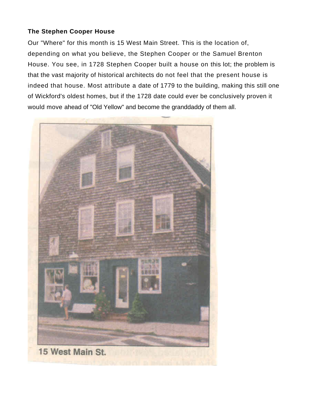#### <span id="page-58-0"></span>**The Stephen Cooper House**

Our "Where" for this month is 15 West Main Street. This is the location of, depending on what you believe, the Stephen Cooper or the Samuel Brenton House. You see, in 1728 Stephen Cooper built a house on this lot; the problem is that the vast majority of historical architects do not feel that the present house is indeed that house. Most attribute a date of 1779 to the building, making this still one of Wickford's oldest homes, but if the 1728 date could ever be conclusively proven it would move ahead of "Old Yellow" and become the granddaddy of them all.

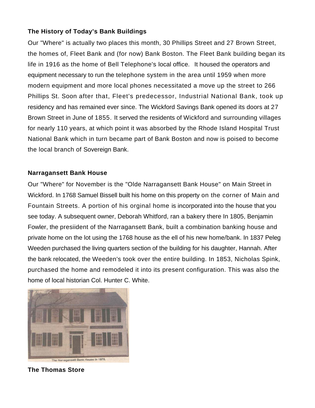#### <span id="page-59-0"></span>**The History of Today's Bank Buildings**

Our "Where" is actually two places this month, 30 Phillips Street and 27 Brown Street, the homes of, Fleet Bank and (for now) Bank Boston. The Fleet Bank building began its life in 1916 as the home of Bell Telephone's local office. It housed the operators and equipment necessary to run the telephone system in the area until 1959 when more modern equipment and more local phones necessitated a move up the street to 266 Phillips St. Soon after that, Fleet's predecessor, Industrial National Bank, took up residency and has remained ever since. The Wickford Savings Bank opened its doors at 27 Brown Street in June of 1855. It served the residents of Wickford and surrounding villages for nearly 110 years, at which point it was absorbed by the Rhode Island Hospital Trust National Bank which in turn became part of Bank Boston and now is poised to become the local branch of Sovereign Bank.

#### **Narragansett Bank House**

Our "Where" for November is the "Olde Narragansett Bank House" on Main Street in Wickford. In 1768 Samuel Bissell built his home on this property on the corner of Main and Fountain Streets. A portion of his orginal home is incorporated into the house that you see today. A subsequent owner, Deborah Whitford, ran a bakery there In 1805, Benjamin Fowler, the presiident of the Narragansett Bank, built a combination banking house and private home on the lot using the 1768 house as the ell of his new home/bank. In 1837 Peleg Weeden purchased the living quarters section of the building for his daughter, Hannah. After the bank relocated, the Weeden's took over the entire building. In 1853, Nicholas Spink, purchased the home and remodeled it into its present configuration. This was also the home of local historian Col. Hunter C. White.



**The Thomas Store**